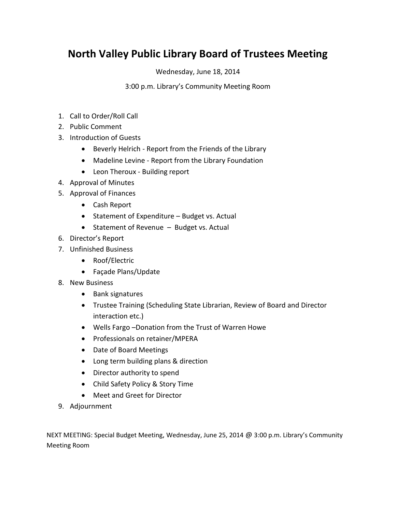## **North Valley Public Library Board of Trustees Meeting**

Wednesday, June 18, 2014

3:00 p.m. Library's Community Meeting Room

- 1. Call to Order/Roll Call
- 2. Public Comment
- 3. Introduction of Guests
	- Beverly Helrich Report from the Friends of the Library
	- Madeline Levine Report from the Library Foundation
	- Leon Theroux Building report
- 4. Approval of Minutes
- 5. Approval of Finances
	- Cash Report
	- Statement of Expenditure Budget vs. Actual
	- Statement of Revenue Budget vs. Actual
- 6. Director's Report
- 7. Unfinished Business
	- Roof/Electric
	- Façade Plans/Update
- 8. New Business
	- Bank signatures
	- Trustee Training (Scheduling State Librarian, Review of Board and Director interaction etc.)
	- Wells Fargo –Donation from the Trust of Warren Howe
	- Professionals on retainer/MPERA
	- Date of Board Meetings
	- Long term building plans & direction
	- Director authority to spend
	- Child Safety Policy & Story Time
	- Meet and Greet for Director
- 9. Adjournment

NEXT MEETING: Special Budget Meeting, Wednesday, June 25, 2014 @ 3:00 p.m. Library's Community Meeting Room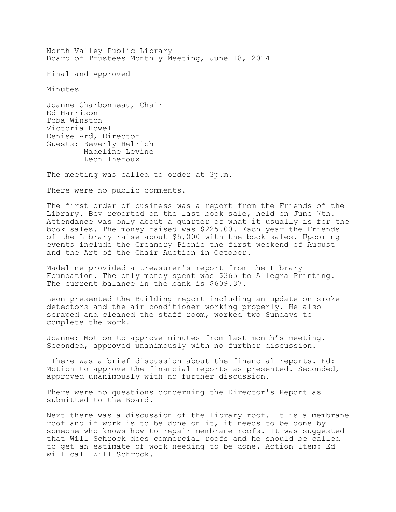North Valley Public Library Board of Trustees Monthly Meeting, June 18, 2014

Final and Approved

Minutes

Joanne Charbonneau, Chair Ed Harrison Toba Winston Victoria Howell Denise Ard, Director Guests: Beverly Helrich Madeline Levine Leon Theroux

The meeting was called to order at 3p.m.

There were no public comments.

The first order of business was a report from the Friends of the Library. Bev reported on the last book sale, held on June 7th. Attendance was only about a quarter of what it usually is for the book sales. The money raised was \$225.00. Each year the Friends of the Library raise about \$5,000 with the book sales. Upcoming events include the Creamery Picnic the first weekend of August and the Art of the Chair Auction in October.

Madeline provided a treasurer's report from the Library Foundation. The only money spent was \$365 to Allegra Printing. The current balance in the bank is \$609.37.

Leon presented the Building report including an update on smoke detectors and the air conditioner working properly. He also scraped and cleaned the staff room, worked two Sundays to complete the work.

Joanne: Motion to approve minutes from last month's meeting. Seconded, approved unanimously with no further discussion.

There was a brief discussion about the financial reports. Ed: Motion to approve the financial reports as presented. Seconded, approved unanimously with no further discussion.

There were no questions concerning the Director's Report as submitted to the Board.

Next there was a discussion of the library roof. It is a membrane roof and if work is to be done on it, it needs to be done by someone who knows how to repair membrane roofs. It was suggested that Will Schrock does commercial roofs and he should be called to get an estimate of work needing to be done. Action Item: Ed will call Will Schrock.